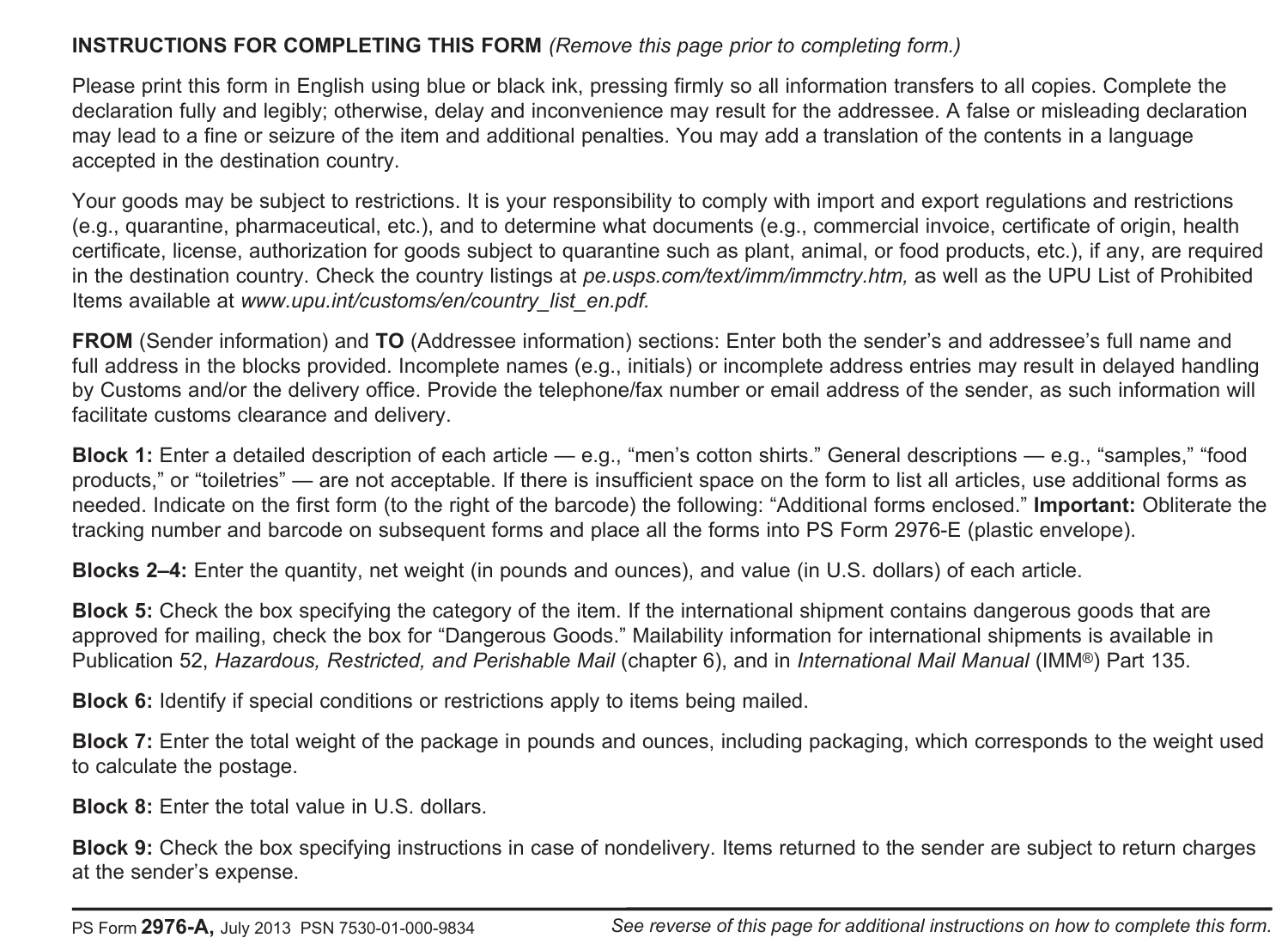# **INSTRUCTIONS FOR COMPLETING THIS FORM** *(Remove this page prior to completing form.)*

Please print this form in English using blue or black ink, pressing firmly so all information transfers to all copies. Complete the declaration fully and legibly; otherwise, delay and inconvenience may result for the addressee. A false or misleading declaration may lead to a fine or seizure of the item and additional penalties. You may add a translation of the contents in a language accepted in the destination country.

Your goods may be subject to restrictions. It is your responsibility to comply with import and export regulations and restrictions (e.g., quarantine, pharmaceutical, etc.), and to determine what documents (e.g., commercial invoice, certificate of origin, health certificate, license, authorization for goods subject to quarantine such as plant, animal, or food products, etc.), if any, are required in the destination country. Check the country listings at *pe.usps.com/text/imm/immctry.htm,* as well as the UPU List of Prohibited Items available at *www.upu.int/customs/en/country\_list\_en.pdf.*

**FROM** (Sender information) and **TO** (Addressee information) sections: Enter both the sender's and addressee's full name and full address in the blocks provided. Incomplete names (e.g., initials) or incomplete address entries may result in delayed handling by Customs and/or the delivery office. Provide the telephone/fax number or email address of the sender, as such information will facilitate customs clearance and delivery.

**Block 1:** Enter a detailed description of each article — e.g., "men's cotton shirts." General descriptions — e.g., "samples," "food products," or "toiletries" — are not acceptable. If there is insufficient space on the form to list all articles, use additional forms as needed. Indicate on the first form (to the right of the barcode) the following: "Additional forms enclosed." **Important:** Obliterate the tracking number and barcode on subsequent forms and place all the forms into PS Form 2976-E (plastic envelope).

**Blocks 2–4:** Enter the quantity, net weight (in pounds and ounces), and value (in U.S. dollars) of each article.

**Block 5:** Check the box specifying the category of the item. If the international shipment contains dangerous goods that are approved for mailing, check the box for "Dangerous Goods." Mailability information for international shipments is available in Publication 52, *Hazardous, Restricted, and Perishable Mail* (chapter 6), and in *International Mail Manual* (IMM®) Part 135.

**Block 6:** Identify if special conditions or restrictions apply to items being mailed.

**Block 7:** Enter the total weight of the package in pounds and ounces, including packaging, which corresponds to the weight used to calculate the postage.

**Block 8:** Enter the total value in U.S. dollars.

**Block 9:** Check the box specifying instructions in case of nondelivery. Items returned to the sender are subject to return charges at the sender's expense.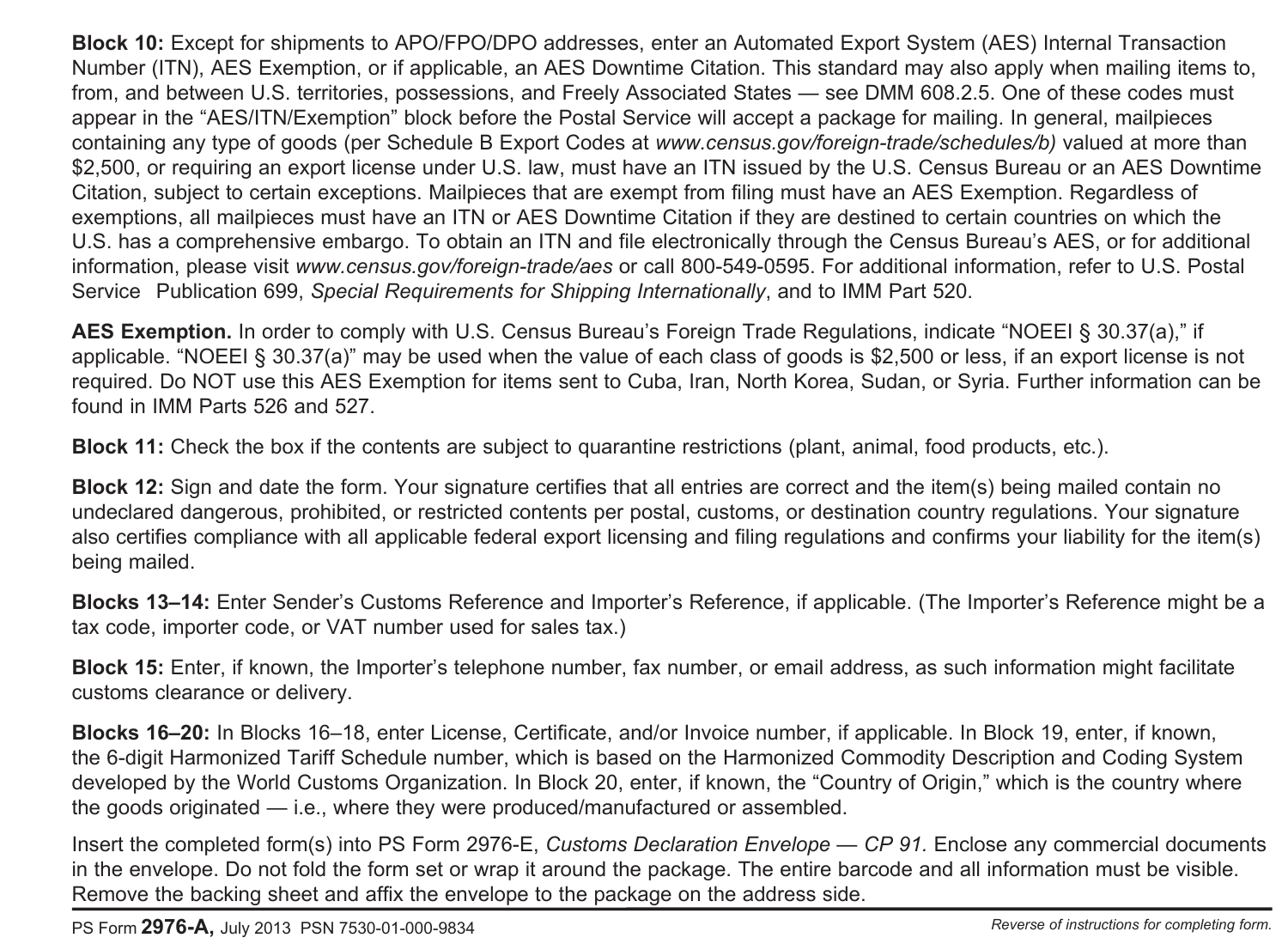**Block 10:** Except for shipments to APO/FPO/DPO addresses, enter an Automated Export System (AES) Internal Transaction Number (ITN), AES Exemption, or if applicable, an AES Downtime Citation. This standard may also apply when mailing items to, from, and between U.S. territories, possessions, and Freely Associated States — see DMM 608.2.5. One of these codes must appear in the "AES/ITN/Exemption" block before the Postal Service will accept a package for mailing. In general, mailpieces containing any type of goods (per Schedule B Export Codes at *www.census.gov/foreign-trade/schedules/b)* valued at more than \$2,500, or requiring an export license under U.S. law, must have an ITN issued by the U.S. Census Bureau or an AES Downtime Citation, subject to certain exceptions. Mailpieces that are exempt from filing must have an AES Exemption. Regardless of exemptions, all mailpieces must have an ITN or AES Downtime Citation if they are destined to certain countries on which the U.S. has a comprehensive embargo. To obtain an ITN and file electronically through the Census Bureau's AES, or for additional information, please visit *www.census.gov/foreign-trade/aes* or call 800-549-0595. For additional information, refer to U.S. Postal Service Publication 699, *Special Requirements for Shipping Internationally*, and to IMM Part 520.

**AES Exemption.** In order to comply with U.S. Census Bureau's Foreign Trade Regulations, indicate "NOEEI § 30.37(a)," if applicable. "NOEEI § 30.37(a)" may be used when the value of each class of goods is \$2,500 or less, if an export license is not required. Do NOT use this AES Exemption for items sent to Cuba, Iran, North Korea, Sudan, or Syria. Further information can be found in IMM Parts 526 and 527.

**Block 11:** Check the box if the contents are subject to quarantine restrictions (plant, animal, food products, etc.).

**Block 12:** Sign and date the form. Your signature certifies that all entries are correct and the item(s) being mailed contain no undeclared dangerous, prohibited, or restricted contents per postal, customs, or destination country regulations. Your signature also certifies compliance with all applicable federal export licensing and filing regulations and confirms your liability for the item(s) being mailed.

**Blocks 13–14:** Enter Sender's Customs Reference and Importer's Reference, if applicable. (The Importer's Reference might be a tax code, importer code, or VAT number used for sales tax.)

**Block 15:** Enter, if known, the Importer's telephone number, fax number, or email address, as such information might facilitate customs clearance or delivery.

**Blocks 16–20:** In Blocks 16–18, enter License, Certificate, and/or Invoice number, if applicable. In Block 19, enter, if known, the 6-digit Harmonized Tariff Schedule number, which is based on the Harmonized Commodity Description and Coding System developed by the World Customs Organization. In Block 20, enter, if known, the "Country of Origin," which is the country where the goods originated — i.e., where they were produced/manufactured or assembled.

Insert the completed form(s) into PS Form 2976-E, *Customs Declaration Envelope — CP 91.* Enclose any commercial documents in the envelope. Do not fold the form set or wrap it around the package. The entire barcode and all information must be visible. Remove the backing sheet and affix the envelope to the package on the address side.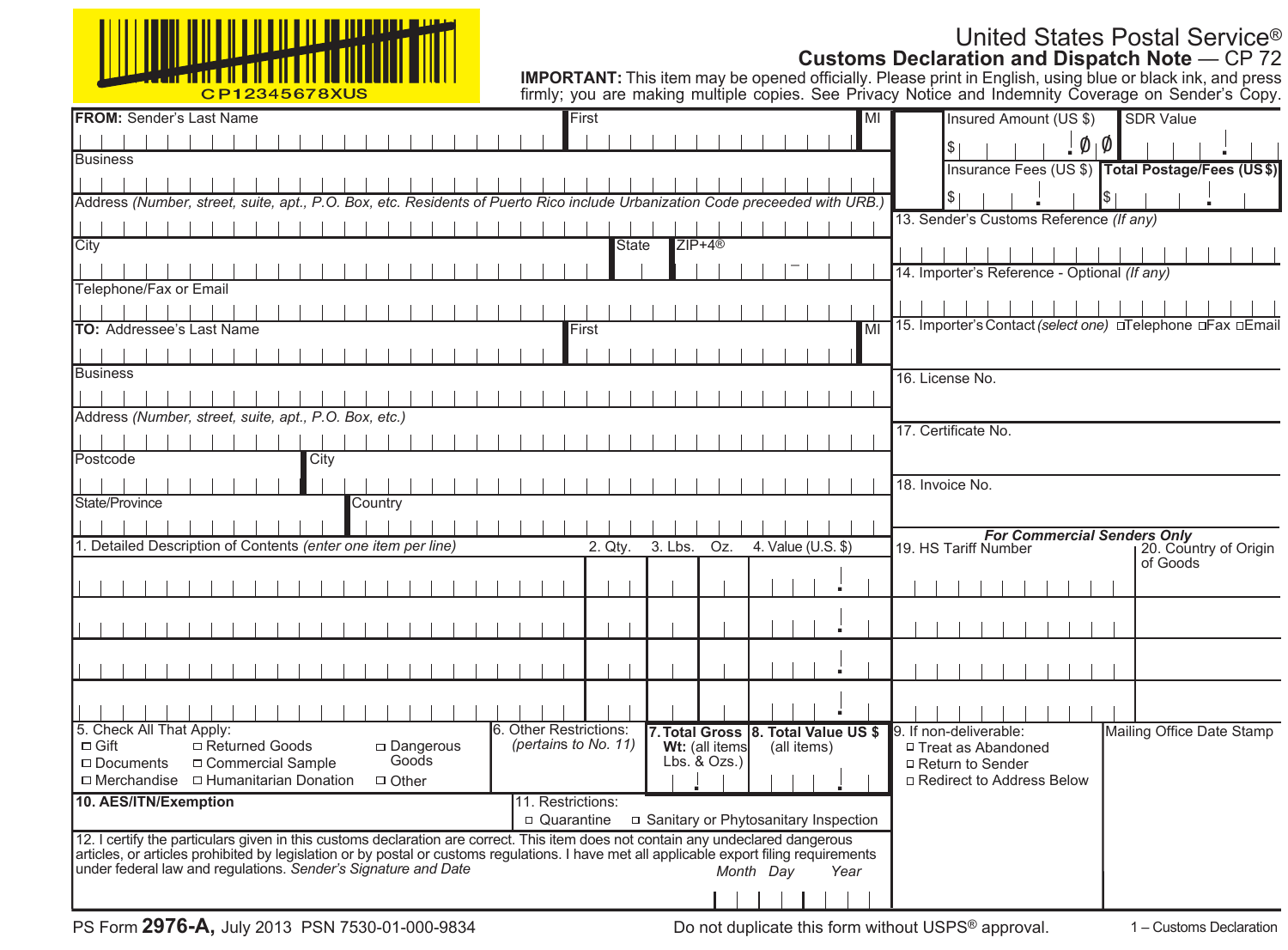| <u>\∭<sub>₩₩₩₩₩₩₩₩₩₩₩₩₩</sub></u> |
|-----------------------------------|
| C D 1 2245678 VIIC                |

# United States Postal Service® **Customs Declaration and Dispatch Note** — CP 72

| CP12345678XUS                                                                                                                                                                                               |                                                                            | <b>IMPORTANT:</b> This item may be opened officially. Please print in English, using blue or black ink, and press<br>firmly: you are making multiple copies. See Privacy Notice and Indemnity Coverage on Sender's Copy. |
|-------------------------------------------------------------------------------------------------------------------------------------------------------------------------------------------------------------|----------------------------------------------------------------------------|--------------------------------------------------------------------------------------------------------------------------------------------------------------------------------------------------------------------------|
| <b>FROM: Sender's Last Name</b>                                                                                                                                                                             | First<br>MI                                                                | Insured Amount (US \$)<br><b>SDR Value</b>                                                                                                                                                                               |
|                                                                                                                                                                                                             |                                                                            | $\emptyset$   $\emptyset$                                                                                                                                                                                                |
| Business                                                                                                                                                                                                    |                                                                            | Insurance Fees (US \$) Total Postage/Fees (US\$)                                                                                                                                                                         |
|                                                                                                                                                                                                             |                                                                            |                                                                                                                                                                                                                          |
| Address (Number, street, suite, apt., P.O. Box, etc. Residents of Puerto Rico include Urbanization Code preceeded with URB.)                                                                                |                                                                            |                                                                                                                                                                                                                          |
|                                                                                                                                                                                                             |                                                                            | 13. Sender's Customs Reference (If any)                                                                                                                                                                                  |
| City                                                                                                                                                                                                        | $ZIP+4@$<br><b>State</b>                                                   |                                                                                                                                                                                                                          |
|                                                                                                                                                                                                             |                                                                            | 14. Importer's Reference - Optional (If any)                                                                                                                                                                             |
| Telephone/Fax or Email                                                                                                                                                                                      |                                                                            |                                                                                                                                                                                                                          |
|                                                                                                                                                                                                             |                                                                            |                                                                                                                                                                                                                          |
| <b>TO: Addressee's Last Name</b>                                                                                                                                                                            | MI<br>First                                                                | 15. Importer's Contact (select one) □ Telephone □ Fax □ Email                                                                                                                                                            |
|                                                                                                                                                                                                             |                                                                            |                                                                                                                                                                                                                          |
| Business                                                                                                                                                                                                    |                                                                            | 16. License No.                                                                                                                                                                                                          |
|                                                                                                                                                                                                             |                                                                            |                                                                                                                                                                                                                          |
| Address (Number, street, suite, apt., P.O. Box, etc.)                                                                                                                                                       |                                                                            | 17. Certificate No.                                                                                                                                                                                                      |
|                                                                                                                                                                                                             |                                                                            |                                                                                                                                                                                                                          |
| Postcode<br>City                                                                                                                                                                                            |                                                                            |                                                                                                                                                                                                                          |
|                                                                                                                                                                                                             |                                                                            | 18. Invoice No.                                                                                                                                                                                                          |
| State/Province<br>Country                                                                                                                                                                                   |                                                                            |                                                                                                                                                                                                                          |
|                                                                                                                                                                                                             |                                                                            | <b>For Commercial Senders Only</b>                                                                                                                                                                                       |
| 1. Detailed Description of Contents (enter one item per line)                                                                                                                                               | 3. Lbs.<br>Oz.<br>4. Value (U.S. \$)<br>2. Qty.                            | 19. HS Tariff Number<br>20. Country of Origin<br>of Goods                                                                                                                                                                |
|                                                                                                                                                                                                             |                                                                            |                                                                                                                                                                                                                          |
|                                                                                                                                                                                                             |                                                                            |                                                                                                                                                                                                                          |
|                                                                                                                                                                                                             |                                                                            |                                                                                                                                                                                                                          |
|                                                                                                                                                                                                             |                                                                            |                                                                                                                                                                                                                          |
|                                                                                                                                                                                                             |                                                                            |                                                                                                                                                                                                                          |
|                                                                                                                                                                                                             |                                                                            |                                                                                                                                                                                                                          |
|                                                                                                                                                                                                             |                                                                            |                                                                                                                                                                                                                          |
| 5. Check All That Apply:                                                                                                                                                                                    | 6. Other Restrictions:<br>7. Total Gross 8. Total Value US \$              | 9. If non-deliverable:<br>Mailing Office Date Stamp                                                                                                                                                                      |
| □ Returned Goods<br>$\Box$ Dangerous<br>$\Box$ Gift<br>Goods<br>□ Commercial Sample<br>$\Box$ Documents                                                                                                     | (pertains to No. 11)<br>Wt: (all items<br>(all items)<br>$Lbs.$ & $Ozs.$ ) | □ Treat as Abandoned<br>□ Return to Sender                                                                                                                                                                               |
| $\Box$ Merchandise $\Box$ Humanitarian Donation<br>$\Box$ Other                                                                                                                                             |                                                                            | □ Redirect to Address Below                                                                                                                                                                                              |
| 10. AES/ITN/Exemption                                                                                                                                                                                       | 11. Restrictions:                                                          |                                                                                                                                                                                                                          |
|                                                                                                                                                                                                             | □ Quarantine<br>□ Sanitary or Phytosanitary Inspection                     |                                                                                                                                                                                                                          |
| 12. I certify the particulars given in this customs declaration are correct. This item does not contain any undeclared dangerous                                                                            |                                                                            |                                                                                                                                                                                                                          |
| articles, or articles prohibited by legislation or by postal or customs regulations. I have met all applicable export filing requirements<br>under federal law and regulations. Sender's Signature and Date | Month Dav<br>Year                                                          |                                                                                                                                                                                                                          |
|                                                                                                                                                                                                             |                                                                            |                                                                                                                                                                                                                          |
|                                                                                                                                                                                                             |                                                                            |                                                                                                                                                                                                                          |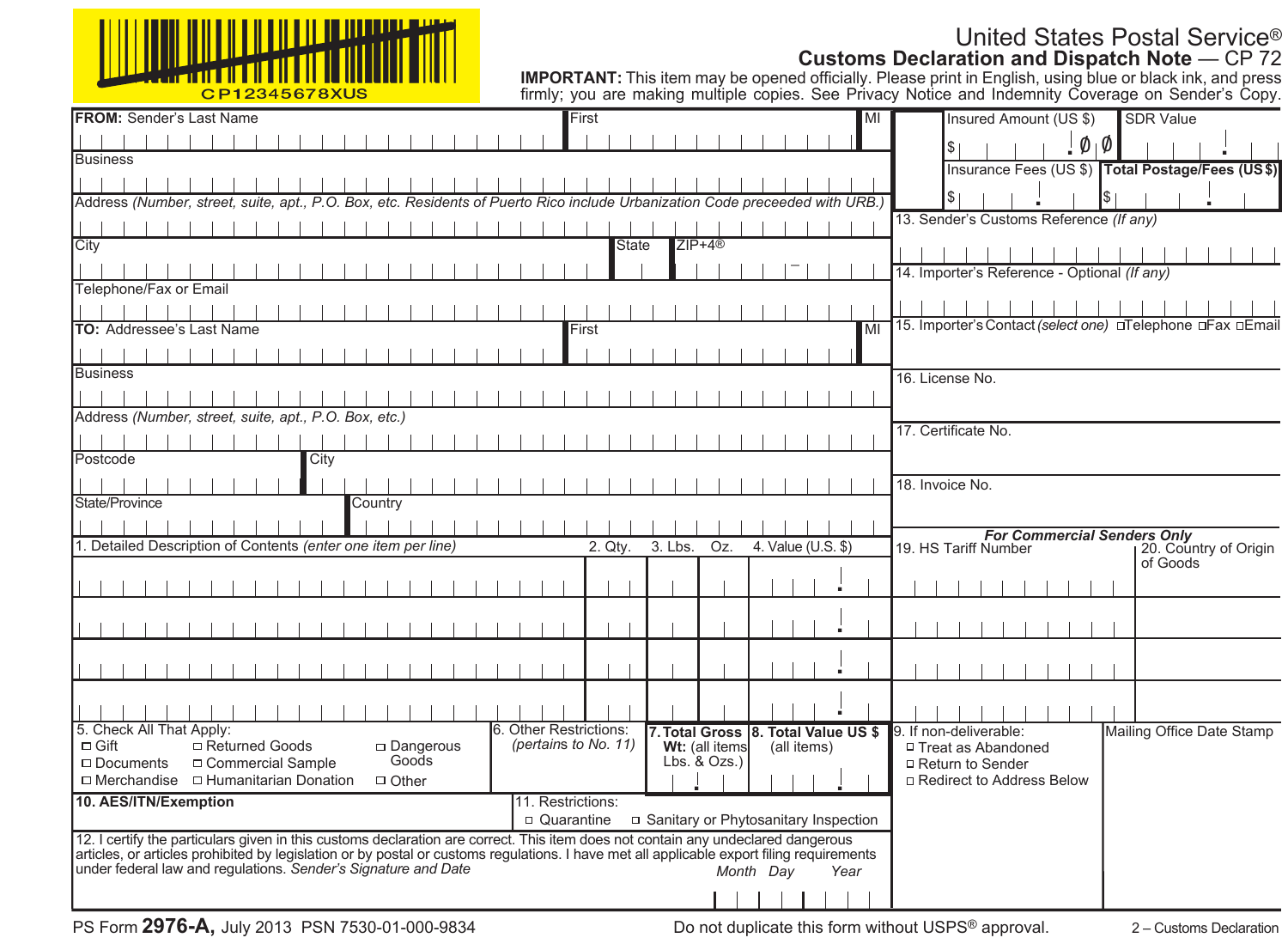| <u>VIIIIIIIIIIIIIIIIIIII</u><br>╵║ <mark>╴╿╫┦┰╫╂╫╊╫╋╈╈╈╈┪╅╁┪┪┇╽┆╏║┆┆┆</mark> |
|------------------------------------------------------------------------------|
| C D 1 2245678 VIIC                                                           |

# United States Postal Service® **Customs Declaration and Dispatch Note** — CP 72

| CP12345678XUS                                                                                                                                                                                               |                                                                            | <b>IMPORTANT:</b> This item may be opened officially. Please print in English, using blue or black ink, and press<br>firmly: you are making multiple copies. See Privacy Notice and Indemnity Coverage on Sender's Copy. |
|-------------------------------------------------------------------------------------------------------------------------------------------------------------------------------------------------------------|----------------------------------------------------------------------------|--------------------------------------------------------------------------------------------------------------------------------------------------------------------------------------------------------------------------|
| <b>FROM: Sender's Last Name</b>                                                                                                                                                                             | First<br>MI                                                                | Insured Amount (US \$)<br><b>SDR Value</b>                                                                                                                                                                               |
|                                                                                                                                                                                                             |                                                                            | $\emptyset$   $\emptyset$                                                                                                                                                                                                |
| Business                                                                                                                                                                                                    |                                                                            | Insurance Fees (US \$) Total Postage/Fees (US\$)                                                                                                                                                                         |
|                                                                                                                                                                                                             |                                                                            |                                                                                                                                                                                                                          |
| Address (Number, street, suite, apt., P.O. Box, etc. Residents of Puerto Rico include Urbanization Code preceeded with URB.)                                                                                |                                                                            |                                                                                                                                                                                                                          |
|                                                                                                                                                                                                             |                                                                            | 13. Sender's Customs Reference (If any)                                                                                                                                                                                  |
| City                                                                                                                                                                                                        | $ZIP+4@$<br><b>State</b>                                                   |                                                                                                                                                                                                                          |
|                                                                                                                                                                                                             |                                                                            | 14. Importer's Reference - Optional (If any)                                                                                                                                                                             |
| Telephone/Fax or Email                                                                                                                                                                                      |                                                                            |                                                                                                                                                                                                                          |
|                                                                                                                                                                                                             |                                                                            |                                                                                                                                                                                                                          |
| <b>TO: Addressee's Last Name</b>                                                                                                                                                                            | MI<br>First                                                                | 15. Importer's Contact (select one) □ Telephone □ Fax □ Email                                                                                                                                                            |
|                                                                                                                                                                                                             |                                                                            |                                                                                                                                                                                                                          |
| Business                                                                                                                                                                                                    |                                                                            | 16. License No.                                                                                                                                                                                                          |
|                                                                                                                                                                                                             |                                                                            |                                                                                                                                                                                                                          |
| Address (Number, street, suite, apt., P.O. Box, etc.)                                                                                                                                                       |                                                                            | 17. Certificate No.                                                                                                                                                                                                      |
|                                                                                                                                                                                                             |                                                                            |                                                                                                                                                                                                                          |
| Postcode<br>City                                                                                                                                                                                            |                                                                            |                                                                                                                                                                                                                          |
|                                                                                                                                                                                                             |                                                                            | 18. Invoice No.                                                                                                                                                                                                          |
| State/Province<br>Country                                                                                                                                                                                   |                                                                            |                                                                                                                                                                                                                          |
|                                                                                                                                                                                                             |                                                                            | <b>For Commercial Senders Only</b>                                                                                                                                                                                       |
| 1. Detailed Description of Contents (enter one item per line)                                                                                                                                               | 3. Lbs.<br>Oz.<br>4. Value (U.S. \$)<br>2. Qty.                            | 19. HS Tariff Number<br>20. Country of Origin<br>of Goods                                                                                                                                                                |
|                                                                                                                                                                                                             |                                                                            |                                                                                                                                                                                                                          |
|                                                                                                                                                                                                             |                                                                            |                                                                                                                                                                                                                          |
|                                                                                                                                                                                                             |                                                                            |                                                                                                                                                                                                                          |
|                                                                                                                                                                                                             |                                                                            |                                                                                                                                                                                                                          |
|                                                                                                                                                                                                             |                                                                            |                                                                                                                                                                                                                          |
|                                                                                                                                                                                                             |                                                                            |                                                                                                                                                                                                                          |
|                                                                                                                                                                                                             |                                                                            |                                                                                                                                                                                                                          |
| 5. Check All That Apply:                                                                                                                                                                                    | 6. Other Restrictions:<br>7. Total Gross 8. Total Value US \$              | 9. If non-deliverable:<br>Mailing Office Date Stamp                                                                                                                                                                      |
| □ Returned Goods<br>$\Box$ Dangerous<br>$\Box$ Gift<br>Goods<br>□ Commercial Sample<br>$\Box$ Documents                                                                                                     | (pertains to No. 11)<br>Wt: (all items<br>(all items)<br>$Lbs.$ & $Ozs.$ ) | □ Treat as Abandoned<br>□ Return to Sender                                                                                                                                                                               |
| $\Box$ Merchandise $\Box$ Humanitarian Donation<br>$\Box$ Other                                                                                                                                             |                                                                            | □ Redirect to Address Below                                                                                                                                                                                              |
| 10. AES/ITN/Exemption                                                                                                                                                                                       | 11. Restrictions:                                                          |                                                                                                                                                                                                                          |
|                                                                                                                                                                                                             | □ Quarantine<br>□ Sanitary or Phytosanitary Inspection                     |                                                                                                                                                                                                                          |
| 12. I certify the particulars given in this customs declaration are correct. This item does not contain any undeclared dangerous                                                                            |                                                                            |                                                                                                                                                                                                                          |
| articles, or articles prohibited by legislation or by postal or customs regulations. I have met all applicable export filing requirements<br>under federal law and regulations. Sender's Signature and Date | Month Dav<br>Year                                                          |                                                                                                                                                                                                                          |
|                                                                                                                                                                                                             |                                                                            |                                                                                                                                                                                                                          |
|                                                                                                                                                                                                             |                                                                            |                                                                                                                                                                                                                          |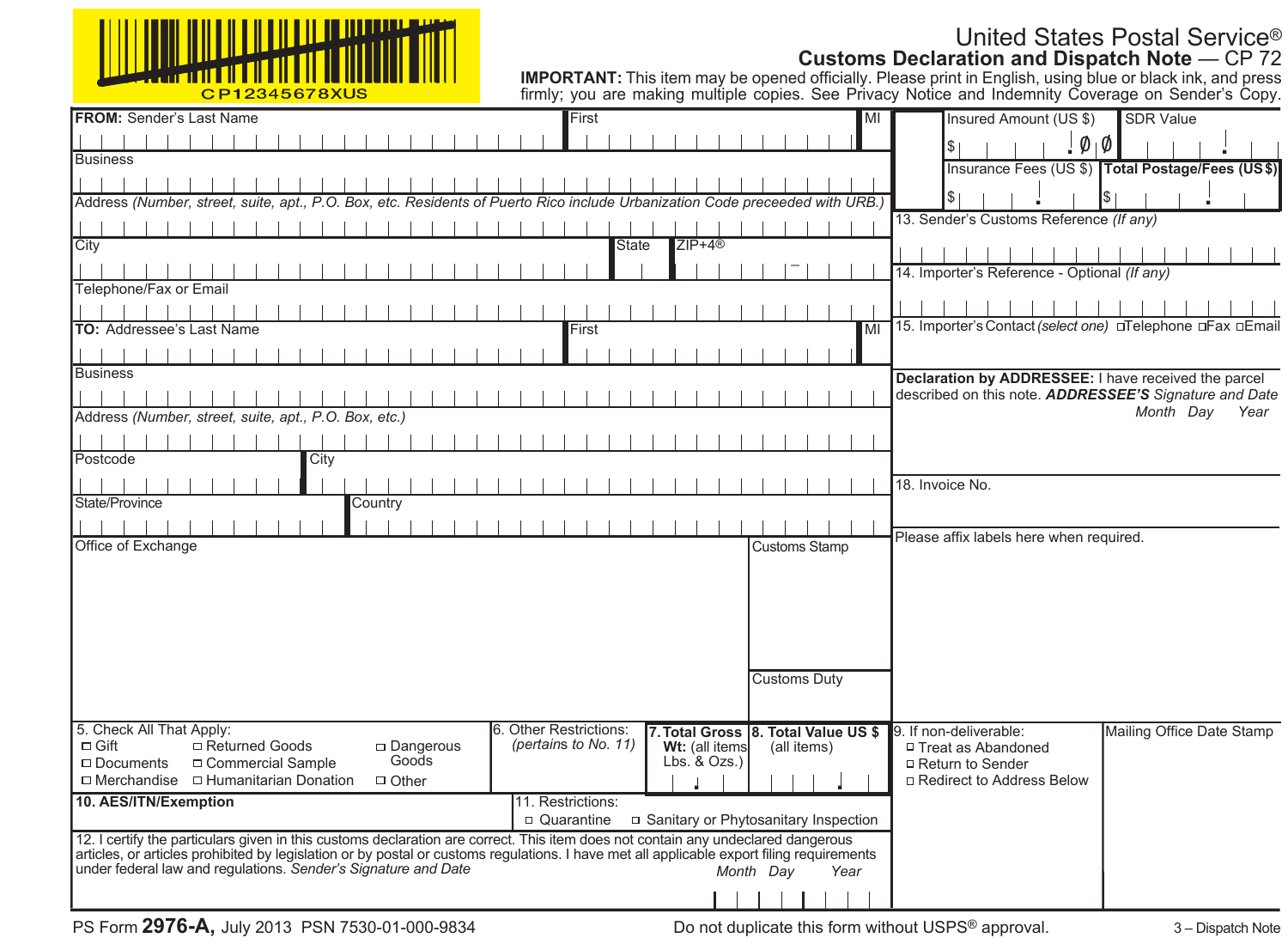| <u>VUULLILLILLILLEEN TYYMINTYY TYYYY</u> |
|------------------------------------------|
| CD12345678YUS                            |

# United States Postal Service® **Customs Declaration and Dispatch Note** — CP 72

| <u> 477 - Anii 110   110   110   110   110   110   110   110   1</u><br>CP12345678XUS                                                     |                                                               | <b>IMPORTANT:</b> This item may be opened officially. Please print in English, using blue or black ink, and press<br>firmly: you are making multiple copies. See Privacy Notice and Indemnity Coverage on Sender's Copy. |
|-------------------------------------------------------------------------------------------------------------------------------------------|---------------------------------------------------------------|--------------------------------------------------------------------------------------------------------------------------------------------------------------------------------------------------------------------------|
| <b>FROM: Sender's Last Name</b>                                                                                                           | First<br>MI                                                   | Insured Amount (US \$)<br><b>SDR Value</b>                                                                                                                                                                               |
|                                                                                                                                           |                                                               | $\emptyset$   $\emptyset$<br>S.                                                                                                                                                                                          |
| <b>Business</b>                                                                                                                           |                                                               | Insurance Fees (US \$) Total Postage/Fees (US \$)                                                                                                                                                                        |
|                                                                                                                                           |                                                               |                                                                                                                                                                                                                          |
| Address (Number, street, suite, apt., P.O. Box, etc. Residents of Puerto Rico include Urbanization Code preceeded with URB.               |                                                               |                                                                                                                                                                                                                          |
|                                                                                                                                           |                                                               | 13. Sender's Customs Reference (If any)                                                                                                                                                                                  |
| City                                                                                                                                      | $ZIP+4@$<br><b>State</b>                                      |                                                                                                                                                                                                                          |
|                                                                                                                                           |                                                               | 14. Importer's Reference - Optional (If any)                                                                                                                                                                             |
| Telephone/Fax or Email                                                                                                                    |                                                               |                                                                                                                                                                                                                          |
|                                                                                                                                           |                                                               |                                                                                                                                                                                                                          |
| <b>TO: Addressee's Last Name</b>                                                                                                          | MI<br>First                                                   | 15. Importer's Contact (select one) DTelephone DFax DEmail                                                                                                                                                               |
|                                                                                                                                           |                                                               |                                                                                                                                                                                                                          |
| <b>Business</b>                                                                                                                           |                                                               | Declaration by ADDRESSEE: I have received the parcel                                                                                                                                                                     |
|                                                                                                                                           |                                                               | described on this note. ADDRESSEE'S Signature and Date                                                                                                                                                                   |
| Address (Number, street, suite, apt., P.O. Box, etc.)                                                                                     |                                                               | Month Day<br>Year                                                                                                                                                                                                        |
|                                                                                                                                           |                                                               |                                                                                                                                                                                                                          |
| Postcode<br>City                                                                                                                          |                                                               |                                                                                                                                                                                                                          |
|                                                                                                                                           |                                                               | 18. Invoice No.                                                                                                                                                                                                          |
| State/Province<br>Country                                                                                                                 |                                                               |                                                                                                                                                                                                                          |
|                                                                                                                                           |                                                               | Please affix labels here when required.                                                                                                                                                                                  |
| Office of Exchange                                                                                                                        | <b>Customs Stamp</b>                                          |                                                                                                                                                                                                                          |
|                                                                                                                                           |                                                               |                                                                                                                                                                                                                          |
|                                                                                                                                           |                                                               |                                                                                                                                                                                                                          |
|                                                                                                                                           |                                                               |                                                                                                                                                                                                                          |
|                                                                                                                                           |                                                               |                                                                                                                                                                                                                          |
|                                                                                                                                           |                                                               |                                                                                                                                                                                                                          |
|                                                                                                                                           | <b>Customs Duty</b>                                           |                                                                                                                                                                                                                          |
|                                                                                                                                           |                                                               |                                                                                                                                                                                                                          |
| 5. Check All That Apply:                                                                                                                  | 6. Other Restrictions:<br>7. Total Gross 8. Total Value US \$ | Mailing Office Date Stamp<br>9. If non-deliverable:                                                                                                                                                                      |
| $\Box$ Gift<br>□ Returned Goods<br>$\square$ Dangerous                                                                                    | (pertains to No. 11)<br>Wt: (all items<br>(all items)         | □ Treat as Abandoned                                                                                                                                                                                                     |
| Goods<br>□ Commercial Sample<br>□ Documents                                                                                               | $Lbs.$ & $Ozs.$ )                                             | □ Return to Sender                                                                                                                                                                                                       |
| $\Box$ Merchandise $\Box$ Humanitarian Donation<br>$\Box$ Other                                                                           |                                                               | □ Redirect to Address Below                                                                                                                                                                                              |
| 10. AES/ITN/Exemption                                                                                                                     | 11. Restrictions:                                             |                                                                                                                                                                                                                          |
| 12. I certify the particulars given in this customs declaration are correct. This item does not contain any undeclared dangerous          | □ Quarantine<br>□ Sanitary or Phytosanitary Inspection        |                                                                                                                                                                                                                          |
| articles, or articles prohibited by legislation or by postal or customs regulations. I have met all applicable export filing requirements |                                                               |                                                                                                                                                                                                                          |
| under federal law and regulations. Sender's Signature and Date                                                                            | Month Dav<br>Year                                             |                                                                                                                                                                                                                          |
|                                                                                                                                           |                                                               |                                                                                                                                                                                                                          |

PS Form **2976-A,** July 2013 PSN 7530-01-000-9834

Do not duplicate this form without USPS® approval.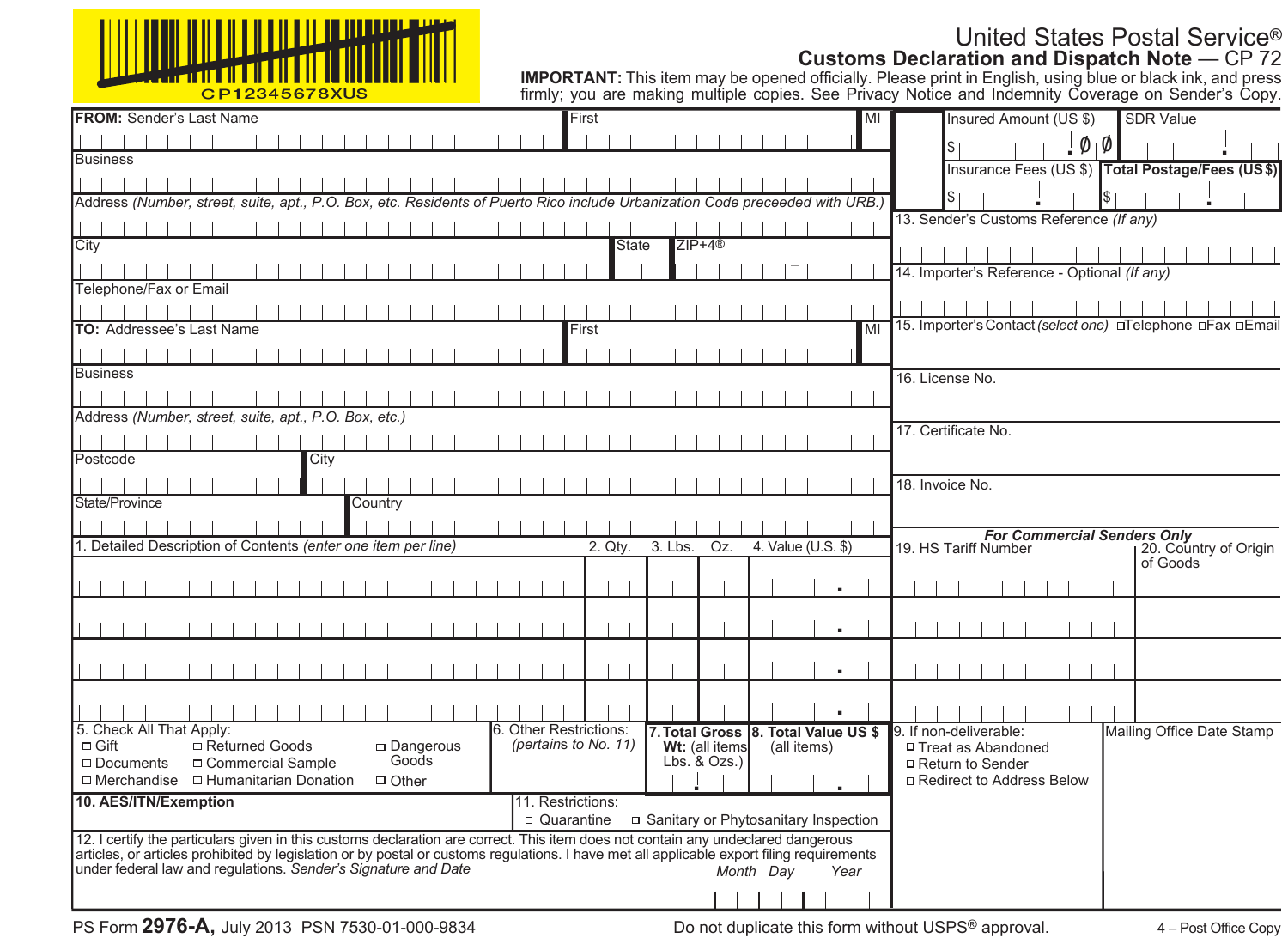| <u>VIIIIIIIIIIIIIIIIIIII</u><br>╵║ <mark>╴╿╫┦┰╫╂╫╊╫╋╈╈╈╈┪╅╁┪┪┇╽┆╏║┆┆┆</mark> |
|------------------------------------------------------------------------------|
| C D 1 2245678 VIIC                                                           |

# United States Postal Service® **Customs Declaration and Dispatch Note** — CP 72

| CP12345678XUS                                                                                                                                                                                                                                                                 |                                                               | <b>IMPORTANT:</b> This item may be opened officially. Please print in English, using blue or black ink, and press<br>firmly: you are making multiple copies. See Privacy Notice and Indemnity Coverage on Sender's Copy. |
|-------------------------------------------------------------------------------------------------------------------------------------------------------------------------------------------------------------------------------------------------------------------------------|---------------------------------------------------------------|--------------------------------------------------------------------------------------------------------------------------------------------------------------------------------------------------------------------------|
| <b>FROM:</b> Sender's Last Name                                                                                                                                                                                                                                               | First<br>MI                                                   | Insured Amount (US \$)<br><b>SDR Value</b>                                                                                                                                                                               |
|                                                                                                                                                                                                                                                                               |                                                               | $\emptyset$   $\emptyset$                                                                                                                                                                                                |
| <b>Business</b>                                                                                                                                                                                                                                                               |                                                               | Insurance Fees (US \$) Total Postage/Fees (US\$)                                                                                                                                                                         |
|                                                                                                                                                                                                                                                                               |                                                               |                                                                                                                                                                                                                          |
| Address (Number, street, suite, apt., P.O. Box, etc. Residents of Puerto Rico include Urbanization Code preceeded with URB.)                                                                                                                                                  |                                                               |                                                                                                                                                                                                                          |
|                                                                                                                                                                                                                                                                               |                                                               | 13. Sender's Customs Reference (If any)                                                                                                                                                                                  |
| City                                                                                                                                                                                                                                                                          | $ZIP+4@$<br><b>State</b>                                      |                                                                                                                                                                                                                          |
|                                                                                                                                                                                                                                                                               |                                                               | 14. Importer's Reference - Optional (If any)                                                                                                                                                                             |
| Telephone/Fax or Email                                                                                                                                                                                                                                                        |                                                               |                                                                                                                                                                                                                          |
|                                                                                                                                                                                                                                                                               |                                                               |                                                                                                                                                                                                                          |
| TO: Addressee's Last Name                                                                                                                                                                                                                                                     | MI<br>First                                                   | 15. Importer's Contact (select one) □ Telephone □ Fax □ Email                                                                                                                                                            |
|                                                                                                                                                                                                                                                                               |                                                               |                                                                                                                                                                                                                          |
| Business                                                                                                                                                                                                                                                                      |                                                               | 16. License No.                                                                                                                                                                                                          |
|                                                                                                                                                                                                                                                                               |                                                               |                                                                                                                                                                                                                          |
| Address (Number, street, suite, apt., P.O. Box, etc.)                                                                                                                                                                                                                         |                                                               |                                                                                                                                                                                                                          |
|                                                                                                                                                                                                                                                                               |                                                               | 17. Certificate No.                                                                                                                                                                                                      |
| Postcode<br>City                                                                                                                                                                                                                                                              |                                                               |                                                                                                                                                                                                                          |
|                                                                                                                                                                                                                                                                               |                                                               | 18. Invoice No.                                                                                                                                                                                                          |
| State/Province<br>Country                                                                                                                                                                                                                                                     |                                                               |                                                                                                                                                                                                                          |
|                                                                                                                                                                                                                                                                               |                                                               | <b>For Commercial Senders Only</b>                                                                                                                                                                                       |
| 1. Detailed Description of Contents (enter one item per line)                                                                                                                                                                                                                 | 2. Qtv.<br>3. Lbs.<br>Oz.<br>4. Value (U.S. \$)               | 19. HS Tariff Number<br>20. Country of Origin                                                                                                                                                                            |
|                                                                                                                                                                                                                                                                               |                                                               | of Goods                                                                                                                                                                                                                 |
|                                                                                                                                                                                                                                                                               |                                                               |                                                                                                                                                                                                                          |
|                                                                                                                                                                                                                                                                               |                                                               |                                                                                                                                                                                                                          |
|                                                                                                                                                                                                                                                                               |                                                               |                                                                                                                                                                                                                          |
|                                                                                                                                                                                                                                                                               |                                                               |                                                                                                                                                                                                                          |
|                                                                                                                                                                                                                                                                               |                                                               |                                                                                                                                                                                                                          |
|                                                                                                                                                                                                                                                                               |                                                               |                                                                                                                                                                                                                          |
| 5. Check All That Apply:                                                                                                                                                                                                                                                      | 6. Other Restrictions:<br>7. Total Gross 8. Total Value US \$ | 9. If non-deliverable:<br>Mailing Office Date Stamp                                                                                                                                                                      |
| □ Returned Goods<br>$\Box$ Gift<br>$\Box$ Dangerous                                                                                                                                                                                                                           | (pertains to No. 11)<br>Wt: (all items<br>(all items)         | □ Treat as Abandoned                                                                                                                                                                                                     |
| Goods<br>□ Commercial Sample<br>$\Box$ Documents                                                                                                                                                                                                                              | $Lbs.$ & $Ozs.$ )                                             | □ Return to Sender                                                                                                                                                                                                       |
| $\Box$ Merchandise $\Box$ Humanitarian Donation<br>$\Box$ Other                                                                                                                                                                                                               |                                                               | □ Redirect to Address Below                                                                                                                                                                                              |
| 10. AES/ITN/Exemption                                                                                                                                                                                                                                                         | 11. Restrictions:                                             |                                                                                                                                                                                                                          |
|                                                                                                                                                                                                                                                                               | □ Quarantine<br>□ Sanitary or Phytosanitary Inspection        |                                                                                                                                                                                                                          |
| 12. I certify the particulars given in this customs declaration are correct. This item does not contain any undeclared dangerous<br>articles, or articles prohibited by legislation or by postal or customs regulations. I have met all applicable export filing requirements |                                                               |                                                                                                                                                                                                                          |
| under federal law and requiations. Sender's Signature and Date                                                                                                                                                                                                                | Month Dav<br>Year                                             |                                                                                                                                                                                                                          |
|                                                                                                                                                                                                                                                                               |                                                               |                                                                                                                                                                                                                          |
|                                                                                                                                                                                                                                                                               |                                                               |                                                                                                                                                                                                                          |

Do not duplicate this form without USPS® approval.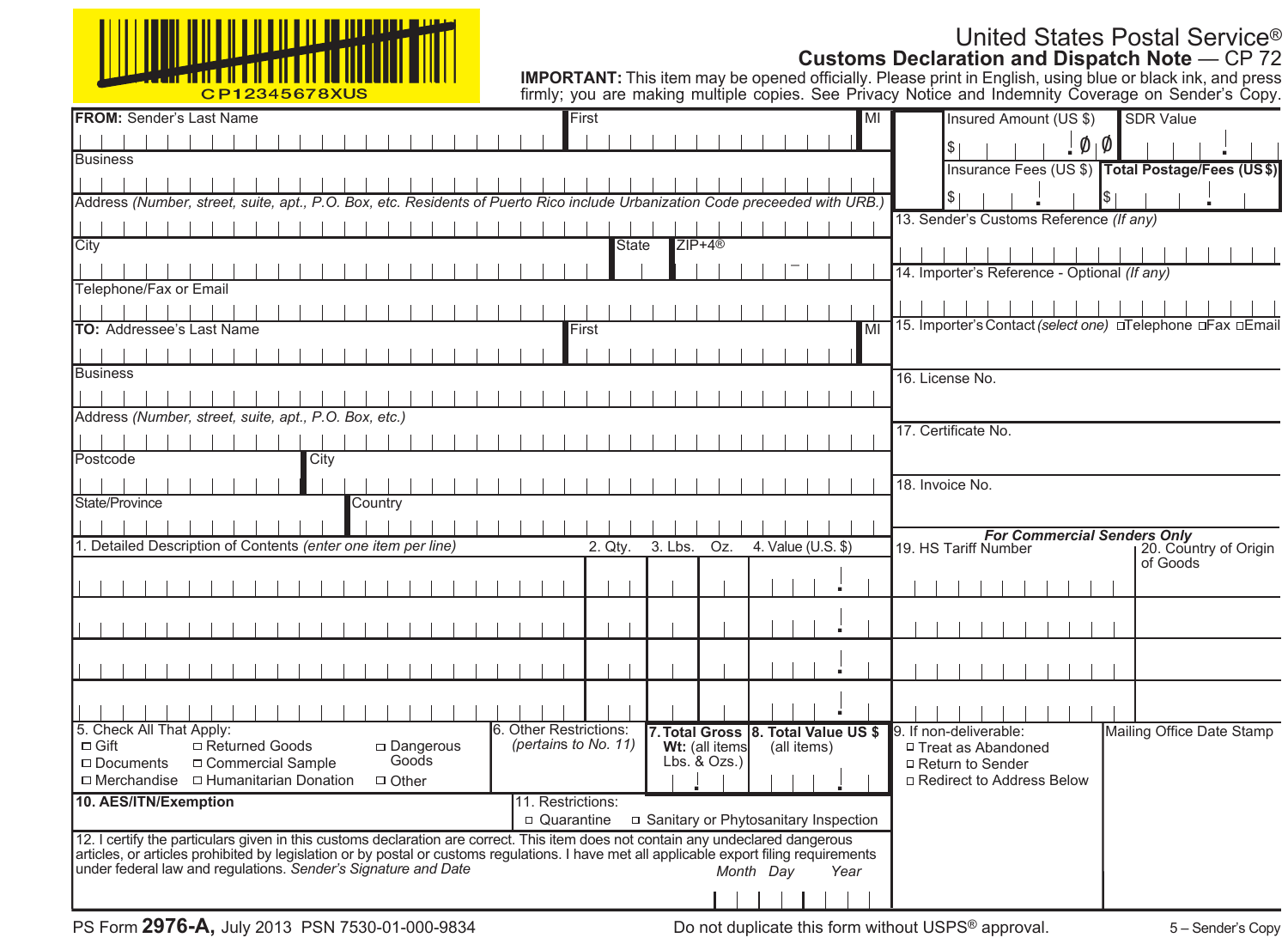| C D 1 2245678 VIIC |
|--------------------|

# United States Postal Service® **Customs Declaration and Dispatch Note** — CP 72

| CP12345678XUS                                                                                                                                                                                                                                                                 |                                                               | <b>IMPORTANT:</b> This item may be opened officially. Please print in English, using blue or black ink, and press<br>firmly: you are making multiple copies. See Privacy Notice and Indemnity Coverage on Sender's Copy. |
|-------------------------------------------------------------------------------------------------------------------------------------------------------------------------------------------------------------------------------------------------------------------------------|---------------------------------------------------------------|--------------------------------------------------------------------------------------------------------------------------------------------------------------------------------------------------------------------------|
| <b>FROM:</b> Sender's Last Name                                                                                                                                                                                                                                               | First<br>MI                                                   | Insured Amount (US \$)<br><b>SDR Value</b>                                                                                                                                                                               |
|                                                                                                                                                                                                                                                                               |                                                               | $\emptyset$   $\emptyset$                                                                                                                                                                                                |
| <b>Business</b>                                                                                                                                                                                                                                                               |                                                               | Insurance Fees (US \$) Total Postage/Fees (US\$)                                                                                                                                                                         |
|                                                                                                                                                                                                                                                                               |                                                               |                                                                                                                                                                                                                          |
| Address (Number, street, suite, apt., P.O. Box, etc. Residents of Puerto Rico include Urbanization Code preceeded with URB.)                                                                                                                                                  |                                                               |                                                                                                                                                                                                                          |
|                                                                                                                                                                                                                                                                               |                                                               | 13. Sender's Customs Reference (If any)                                                                                                                                                                                  |
| City                                                                                                                                                                                                                                                                          | $ZIP+4@$<br><b>State</b>                                      |                                                                                                                                                                                                                          |
|                                                                                                                                                                                                                                                                               |                                                               | 14. Importer's Reference - Optional (If any)                                                                                                                                                                             |
| Telephone/Fax or Email                                                                                                                                                                                                                                                        |                                                               |                                                                                                                                                                                                                          |
|                                                                                                                                                                                                                                                                               |                                                               |                                                                                                                                                                                                                          |
| TO: Addressee's Last Name                                                                                                                                                                                                                                                     | MI<br>First                                                   | 15. Importer's Contact (select one) □ Telephone □ Fax □ Email                                                                                                                                                            |
|                                                                                                                                                                                                                                                                               |                                                               |                                                                                                                                                                                                                          |
| Business                                                                                                                                                                                                                                                                      |                                                               | 16. License No.                                                                                                                                                                                                          |
|                                                                                                                                                                                                                                                                               |                                                               |                                                                                                                                                                                                                          |
| Address (Number, street, suite, apt., P.O. Box, etc.)                                                                                                                                                                                                                         |                                                               |                                                                                                                                                                                                                          |
|                                                                                                                                                                                                                                                                               |                                                               | 17. Certificate No.                                                                                                                                                                                                      |
| Postcode<br>City                                                                                                                                                                                                                                                              |                                                               |                                                                                                                                                                                                                          |
|                                                                                                                                                                                                                                                                               |                                                               | 18. Invoice No.                                                                                                                                                                                                          |
| State/Province<br>Country                                                                                                                                                                                                                                                     |                                                               |                                                                                                                                                                                                                          |
|                                                                                                                                                                                                                                                                               |                                                               | <b>For Commercial Senders Only</b>                                                                                                                                                                                       |
| 1. Detailed Description of Contents (enter one item per line)                                                                                                                                                                                                                 | 2. Qtv.<br>3. Lbs.<br>Oz.<br>4. Value (U.S. \$)               | 19. HS Tariff Number<br>20. Country of Origin                                                                                                                                                                            |
|                                                                                                                                                                                                                                                                               |                                                               | of Goods                                                                                                                                                                                                                 |
|                                                                                                                                                                                                                                                                               |                                                               |                                                                                                                                                                                                                          |
|                                                                                                                                                                                                                                                                               |                                                               |                                                                                                                                                                                                                          |
|                                                                                                                                                                                                                                                                               |                                                               |                                                                                                                                                                                                                          |
|                                                                                                                                                                                                                                                                               |                                                               |                                                                                                                                                                                                                          |
|                                                                                                                                                                                                                                                                               |                                                               |                                                                                                                                                                                                                          |
|                                                                                                                                                                                                                                                                               |                                                               |                                                                                                                                                                                                                          |
| 5. Check All That Apply:                                                                                                                                                                                                                                                      | 6. Other Restrictions:<br>7. Total Gross 8. Total Value US \$ | 9. If non-deliverable:<br>Mailing Office Date Stamp                                                                                                                                                                      |
| □ Returned Goods<br>$\Box$ Gift<br>$\Box$ Dangerous                                                                                                                                                                                                                           | (pertains to No. 11)<br>Wt: (all items<br>(all items)         | □ Treat as Abandoned                                                                                                                                                                                                     |
| Goods<br>□ Commercial Sample<br>$\Box$ Documents                                                                                                                                                                                                                              | $Lbs.$ & $Ozs.$ )                                             | □ Return to Sender                                                                                                                                                                                                       |
| $\Box$ Merchandise $\Box$ Humanitarian Donation<br>$\Box$ Other                                                                                                                                                                                                               |                                                               | □ Redirect to Address Below                                                                                                                                                                                              |
| 10. AES/ITN/Exemption                                                                                                                                                                                                                                                         | 11. Restrictions:                                             |                                                                                                                                                                                                                          |
|                                                                                                                                                                                                                                                                               | □ Quarantine<br>□ Sanitary or Phytosanitary Inspection        |                                                                                                                                                                                                                          |
| 12. I certify the particulars given in this customs declaration are correct. This item does not contain any undeclared dangerous<br>articles, or articles prohibited by legislation or by postal or customs regulations. I have met all applicable export filing requirements |                                                               |                                                                                                                                                                                                                          |
| under federal law and requiations. Sender's Signature and Date                                                                                                                                                                                                                | Month Dav<br>Year                                             |                                                                                                                                                                                                                          |
|                                                                                                                                                                                                                                                                               |                                                               |                                                                                                                                                                                                                          |
|                                                                                                                                                                                                                                                                               |                                                               |                                                                                                                                                                                                                          |